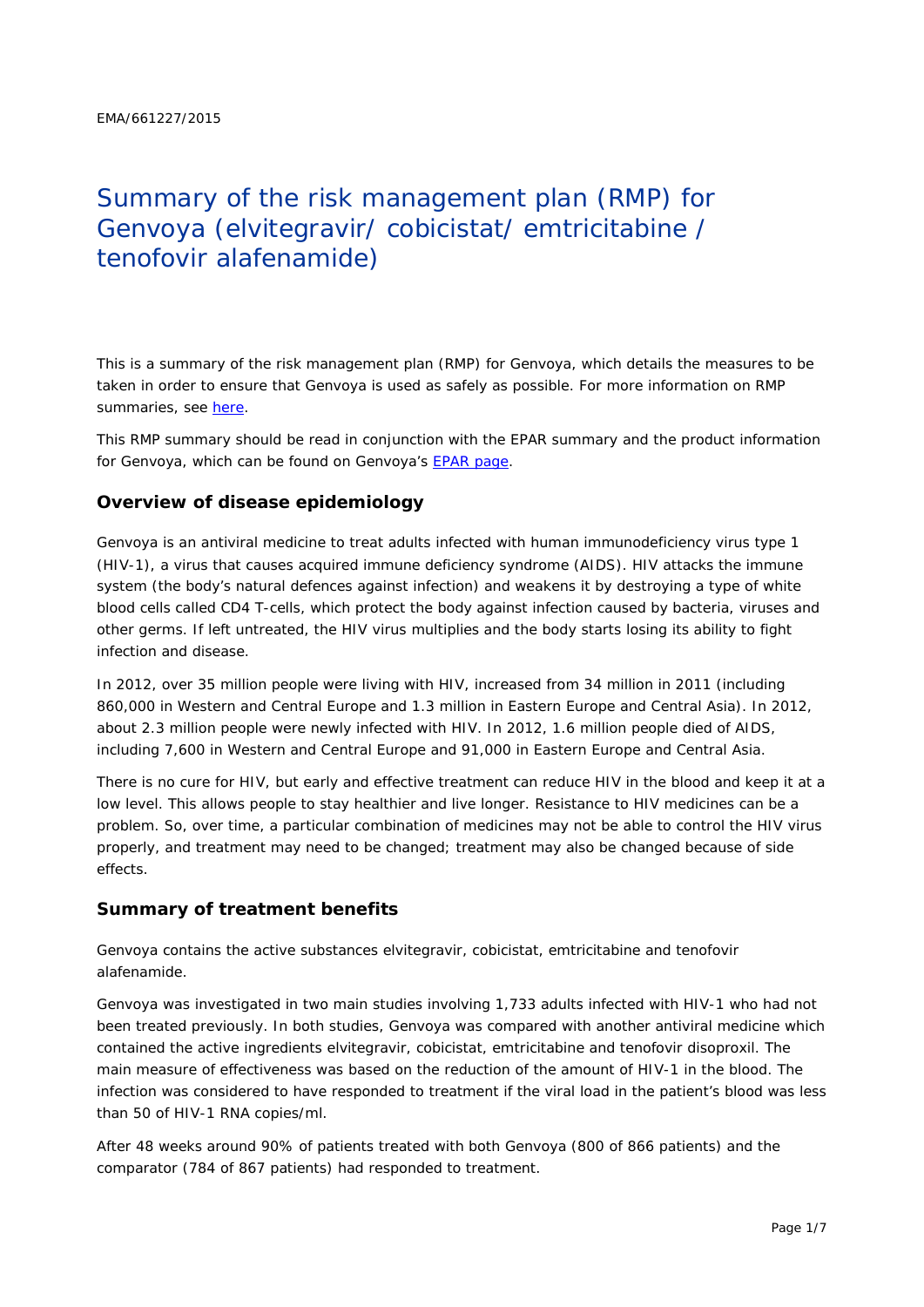# Summary of the risk management plan (RMP) for Genvoya (elvitegravir/ cobicistat/ emtricitabine / tenofovir alafenamide)

This is a summary of the risk management plan (RMP) for Genvoya, which details the measures to be taken in order to ensure that Genvoya is used as safely as possible. For more information on RMP summaries, see [here.](http://www.ema.europa.eu/docs/en_GB/document_library/Other/2014/05/WC500166101.pdf)

This RMP summary should be read in conjunction with the EPAR summary and the product information for Genvoya, which can be found on Genvoya's [EPAR page.](http://www.ema.europa.eu/ema/index.jsp?curl=/pages/medicines/human/medicines/004042/human_med_001940.jsp)

## **Overview of disease epidemiology**

Genvoya is an antiviral medicine to treat adults infected with human immunodeficiency virus type 1 (HIV-1), a virus that causes acquired immune deficiency syndrome (AIDS). HIV attacks the immune system (the body's natural defences against infection) and weakens it by destroying a type of white blood cells called CD4 T-cells, which protect the body against infection caused by bacteria, viruses and other germs. If left untreated, the HIV virus multiplies and the body starts losing its ability to fight infection and disease.

In 2012, over 35 million people were living with HIV, increased from 34 million in 2011 (including 860,000 in Western and Central Europe and 1.3 million in Eastern Europe and Central Asia). In 2012, about 2.3 million people were newly infected with HIV. In 2012, 1.6 million people died of AIDS, including 7,600 in Western and Central Europe and 91,000 in Eastern Europe and Central Asia.

There is no cure for HIV, but early and effective treatment can reduce HIV in the blood and keep it at a low level. This allows people to stay healthier and live longer. Resistance to HIV medicines can be a problem. So, over time, a particular combination of medicines may not be able to control the HIV virus properly, and treatment may need to be changed; treatment may also be changed because of side effects.

#### **Summary of treatment benefits**

Genvoya contains the active substances elvitegravir, cobicistat, emtricitabine and tenofovir alafenamide.

Genvoya was investigated in two main studies involving 1,733 adults infected with HIV-1 who had not been treated previously. In both studies, Genvoya was compared with another antiviral medicine which contained the active ingredients elvitegravir, cobicistat, emtricitabine and tenofovir disoproxil. The main measure of effectiveness was based on the reduction of the amount of HIV-1 in the blood. The infection was considered to have responded to treatment if the viral load in the patient's blood was less than 50 of HIV-1 RNA copies/ml.

After 48 weeks around 90% of patients treated with both Genvoya (800 of 866 patients) and the comparator (784 of 867 patients) had responded to treatment.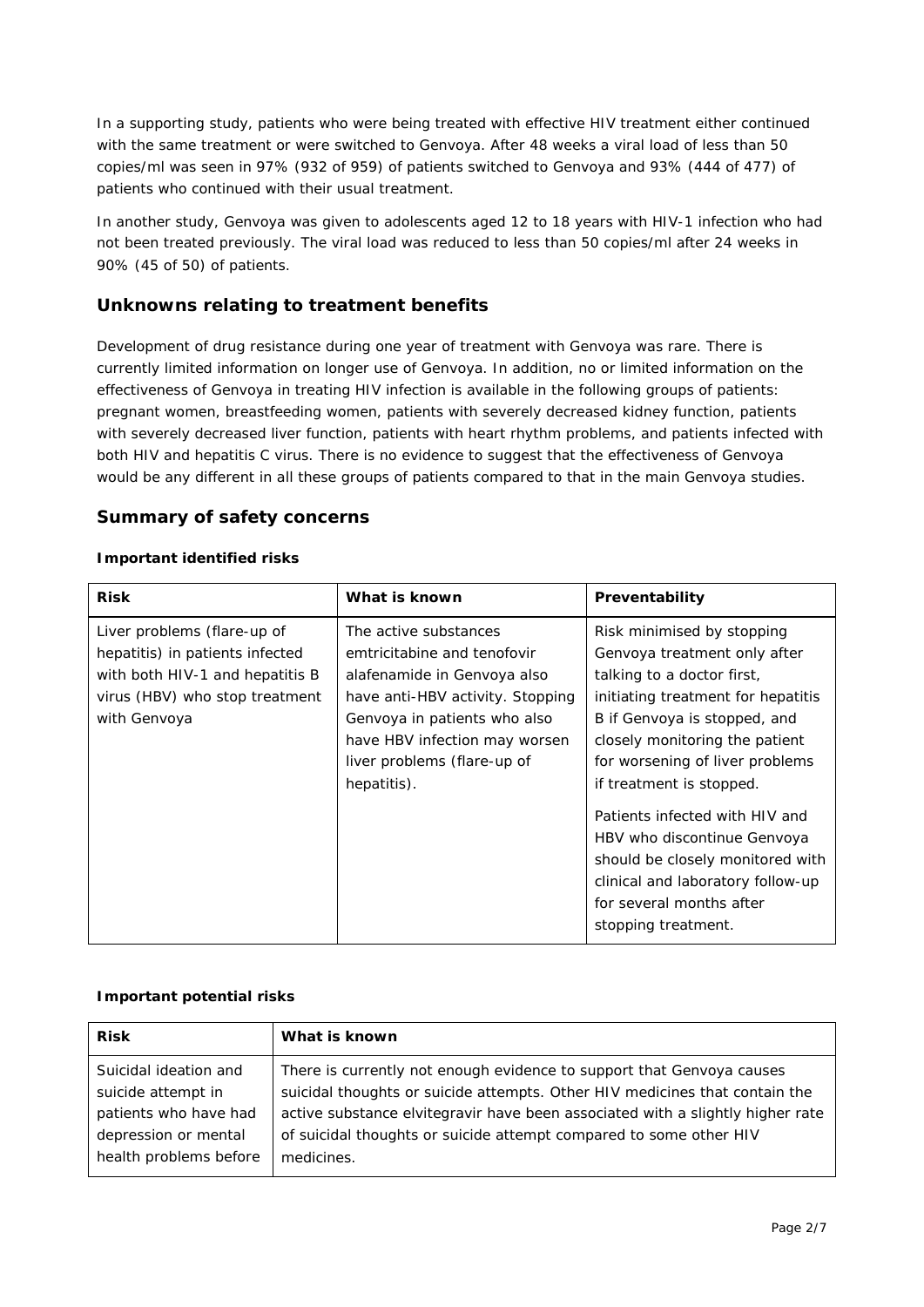In a supporting study, patients who were being treated with effective HIV treatment either continued with the same treatment or were switched to Genvoya. After 48 weeks a viral load of less than 50 copies/ml was seen in 97% (932 of 959) of patients switched to Genvoya and 93% (444 of 477) of patients who continued with their usual treatment.

In another study, Genvoya was given to adolescents aged 12 to 18 years with HIV-1 infection who had not been treated previously. The viral load was reduced to less than 50 copies/ml after 24 weeks in 90% (45 of 50) of patients.

## **Unknowns relating to treatment benefits**

Development of drug resistance during one year of treatment with Genvoya was rare. There is currently limited information on longer use of Genvoya. In addition, no or limited information on the effectiveness of Genvoya in treating HIV infection is available in the following groups of patients: pregnant women, breastfeeding women, patients with severely decreased kidney function, patients with severely decreased liver function, patients with heart rhythm problems, and patients infected with both HIV and hepatitis C virus. There is no evidence to suggest that the effectiveness of Genvoya would be any different in all these groups of patients compared to that in the main Genvoya studies.

#### **Summary of safety concerns**

#### *Important identified risks*

| Risk minimised by stopping<br>emtricitabine and tenofovir<br>Genvoya treatment only after<br>alafenamide in Genvoya also<br>talking to a doctor first,<br>have anti-HBV activity. Stopping<br>initiating treatment for hepatitis<br>Genvoya in patients who also<br>B if Genvoya is stopped, and<br>have HBV infection may worsen<br>closely monitoring the patient<br>liver problems (flare-up of<br>for worsening of liver problems<br>if treatment is stopped.<br>Patients infected with HIV and<br>HBV who discontinue Genvoya<br>should be closely monitored with<br>clinical and laboratory follow-up<br>for several months after<br>stopping treatment. |
|----------------------------------------------------------------------------------------------------------------------------------------------------------------------------------------------------------------------------------------------------------------------------------------------------------------------------------------------------------------------------------------------------------------------------------------------------------------------------------------------------------------------------------------------------------------------------------------------------------------------------------------------------------------|
|                                                                                                                                                                                                                                                                                                                                                                                                                                                                                                                                                                                                                                                                |

#### *Important potential risks*

| <b>Risk</b>            | What is known                                                                  |
|------------------------|--------------------------------------------------------------------------------|
| Suicidal ideation and  | There is currently not enough evidence to support that Genvoya causes          |
| suicide attempt in     | suicidal thoughts or suicide attempts. Other HIV medicines that contain the    |
| patients who have had  | active substance elvitegravir have been associated with a slightly higher rate |
| depression or mental   | of suicidal thoughts or suicide attempt compared to some other HIV             |
| health problems before | medicines.                                                                     |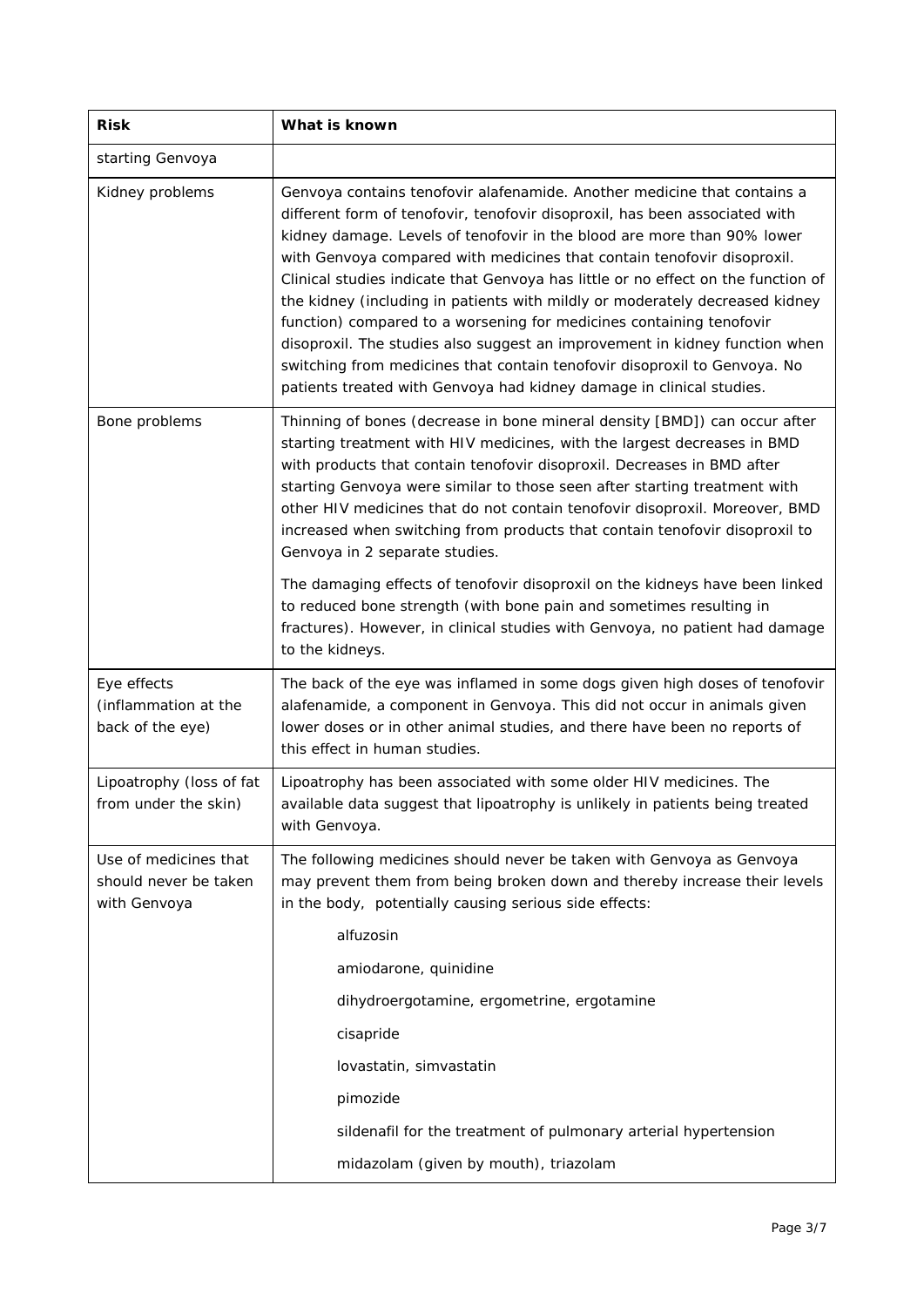| <b>Risk</b>                                                    | What is known                                                                                                                                                                                                                                                                                                                                                                                                                                                                                                                                                                                                                                                                                                                                                                                  |  |  |
|----------------------------------------------------------------|------------------------------------------------------------------------------------------------------------------------------------------------------------------------------------------------------------------------------------------------------------------------------------------------------------------------------------------------------------------------------------------------------------------------------------------------------------------------------------------------------------------------------------------------------------------------------------------------------------------------------------------------------------------------------------------------------------------------------------------------------------------------------------------------|--|--|
| starting Genvoya                                               |                                                                                                                                                                                                                                                                                                                                                                                                                                                                                                                                                                                                                                                                                                                                                                                                |  |  |
| Kidney problems                                                | Genvoya contains tenofovir alafenamide. Another medicine that contains a<br>different form of tenofovir, tenofovir disoproxil, has been associated with<br>kidney damage. Levels of tenofovir in the blood are more than 90% lower<br>with Genvoya compared with medicines that contain tenofovir disoproxil.<br>Clinical studies indicate that Genvoya has little or no effect on the function of<br>the kidney (including in patients with mildly or moderately decreased kidney<br>function) compared to a worsening for medicines containing tenofovir<br>disoproxil. The studies also suggest an improvement in kidney function when<br>switching from medicines that contain tenofovir disoproxil to Genvoya. No<br>patients treated with Genvoya had kidney damage in clinical studies. |  |  |
| Bone problems                                                  | Thinning of bones (decrease in bone mineral density [BMD]) can occur after<br>starting treatment with HIV medicines, with the largest decreases in BMD<br>with products that contain tenofovir disoproxil. Decreases in BMD after<br>starting Genvoya were similar to those seen after starting treatment with<br>other HIV medicines that do not contain tenofovir disoproxil. Moreover, BMD<br>increased when switching from products that contain tenofovir disoproxil to<br>Genvoya in 2 separate studies.<br>The damaging effects of tenofovir disoproxil on the kidneys have been linked<br>to reduced bone strength (with bone pain and sometimes resulting in<br>fractures). However, in clinical studies with Genvoya, no patient had damage<br>to the kidneys.                       |  |  |
| Eye effects<br>(inflammation at the<br>back of the eye)        | The back of the eye was inflamed in some dogs given high doses of tenofovir<br>alafenamide, a component in Genvoya. This did not occur in animals given<br>lower doses or in other animal studies, and there have been no reports of<br>this effect in human studies.                                                                                                                                                                                                                                                                                                                                                                                                                                                                                                                          |  |  |
| Lipoatrophy (loss of fat<br>from under the skin)               | Lipoatrophy has been associated with some older HIV medicines. The<br>available data suggest that lipoatrophy is unlikely in patients being treated<br>with Genvoya.                                                                                                                                                                                                                                                                                                                                                                                                                                                                                                                                                                                                                           |  |  |
| Use of medicines that<br>should never be taken<br>with Genvoya | The following medicines should never be taken with Genvoya as Genvoya<br>may prevent them from being broken down and thereby increase their levels<br>in the body, potentially causing serious side effects:<br>alfuzosin<br>amiodarone, quinidine<br>dihydroergotamine, ergometrine, ergotamine<br>cisapride<br>lovastatin, simvastatin<br>pimozide<br>sildenafil for the treatment of pulmonary arterial hypertension<br>midazolam (given by mouth), triazolam                                                                                                                                                                                                                                                                                                                               |  |  |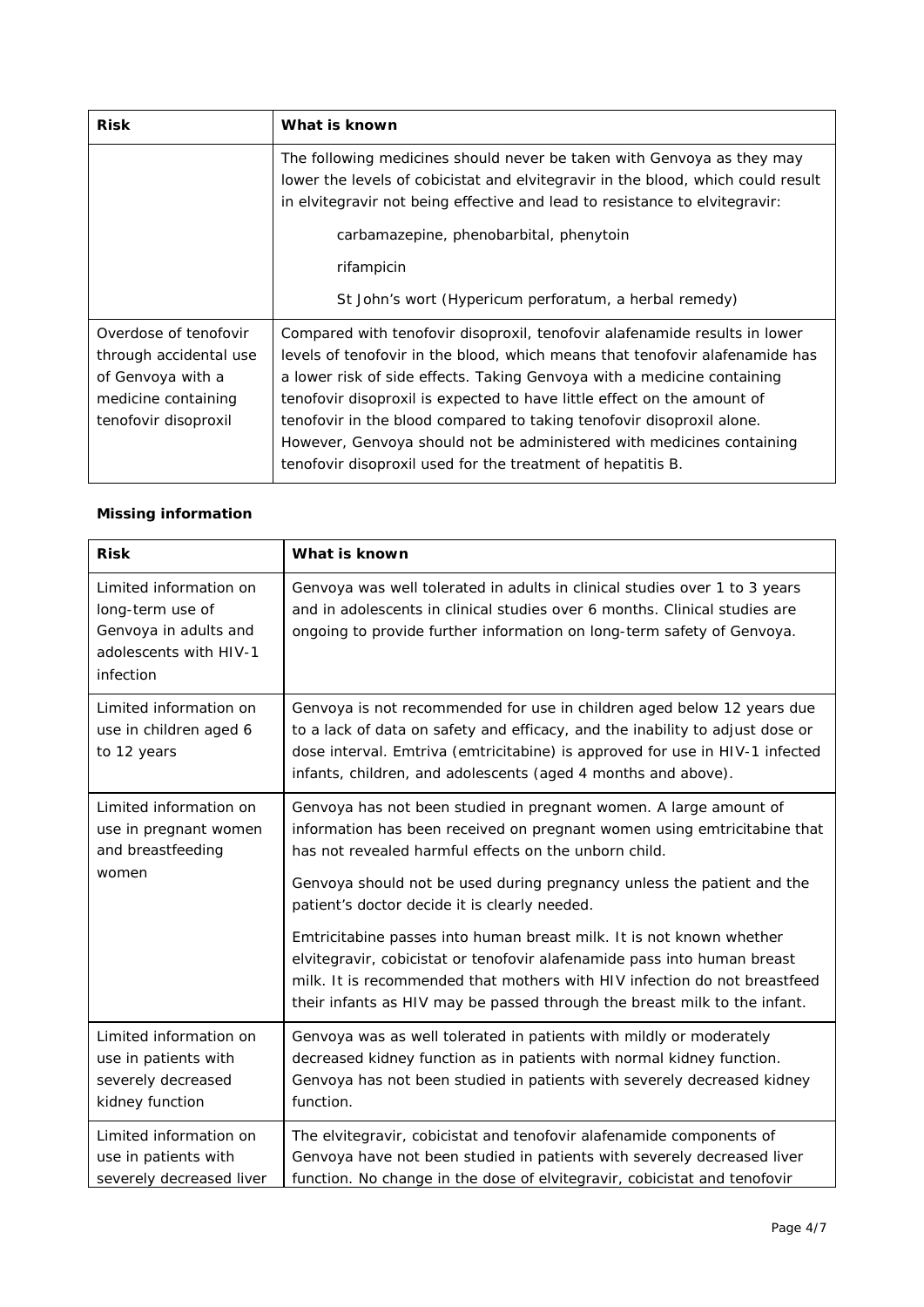| <b>Risk</b>                                                                                                         | What is known                                                                                                                                                                                                                                                                                                                                                                                                                                                                                                                     |  |  |
|---------------------------------------------------------------------------------------------------------------------|-----------------------------------------------------------------------------------------------------------------------------------------------------------------------------------------------------------------------------------------------------------------------------------------------------------------------------------------------------------------------------------------------------------------------------------------------------------------------------------------------------------------------------------|--|--|
|                                                                                                                     | The following medicines should never be taken with Genvoya as they may<br>lower the levels of cobicistat and elvitegravir in the blood, which could result<br>in elvitegravir not being effective and lead to resistance to elvitegravir:                                                                                                                                                                                                                                                                                         |  |  |
|                                                                                                                     | carbamazepine, phenobarbital, phenytoin                                                                                                                                                                                                                                                                                                                                                                                                                                                                                           |  |  |
|                                                                                                                     | rifampicin                                                                                                                                                                                                                                                                                                                                                                                                                                                                                                                        |  |  |
|                                                                                                                     | St John's wort ( <i>Hypericum perforatum</i> , a herbal remedy)                                                                                                                                                                                                                                                                                                                                                                                                                                                                   |  |  |
| Overdose of tenofovir<br>through accidental use<br>of Genvoya with a<br>medicine containing<br>tenofovir disoproxil | Compared with tenofovir disoproxil, tenofovir alafenamide results in lower<br>levels of tenofovir in the blood, which means that tenofovir alafenamide has<br>a lower risk of side effects. Taking Genvoya with a medicine containing<br>tenofovir disoproxil is expected to have little effect on the amount of<br>tenofovir in the blood compared to taking tenofovir disoproxil alone.<br>However, Genvoya should not be administered with medicines containing<br>tenofovir disoproxil used for the treatment of hepatitis B. |  |  |

#### *Missing information*

| <b>Risk</b>                                                                                                | What is known                                                                                                                                                                                                                                                                                                                                                                                                                                                                                                                                                                                                                                   |
|------------------------------------------------------------------------------------------------------------|-------------------------------------------------------------------------------------------------------------------------------------------------------------------------------------------------------------------------------------------------------------------------------------------------------------------------------------------------------------------------------------------------------------------------------------------------------------------------------------------------------------------------------------------------------------------------------------------------------------------------------------------------|
| Limited information on<br>long-term use of<br>Genvoya in adults and<br>adolescents with HIV-1<br>infection | Genvoya was well tolerated in adults in clinical studies over 1 to 3 years<br>and in adolescents in clinical studies over 6 months. Clinical studies are<br>ongoing to provide further information on long-term safety of Genvoya.                                                                                                                                                                                                                                                                                                                                                                                                              |
| Limited information on<br>use in children aged 6<br>to 12 years                                            | Genvoya is not recommended for use in children aged below 12 years due<br>to a lack of data on safety and efficacy, and the inability to adjust dose or<br>dose interval. Emtriva (emtricitabine) is approved for use in HIV-1 infected<br>infants, children, and adolescents (aged 4 months and above).                                                                                                                                                                                                                                                                                                                                        |
| Limited information on<br>use in pregnant women<br>and breastfeeding<br>women                              | Genvoya has not been studied in pregnant women. A large amount of<br>information has been received on pregnant women using emtricitabine that<br>has not revealed harmful effects on the unborn child.<br>Genvoya should not be used during pregnancy unless the patient and the<br>patient's doctor decide it is clearly needed.<br>Emtricitabine passes into human breast milk. It is not known whether<br>elvitegravir, cobicistat or tenofovir alafenamide pass into human breast<br>milk. It is recommended that mothers with HIV infection do not breastfeed<br>their infants as HIV may be passed through the breast milk to the infant. |
| Limited information on<br>use in patients with<br>severely decreased<br>kidney function                    | Genvoya was as well tolerated in patients with mildly or moderately<br>decreased kidney function as in patients with normal kidney function.<br>Genvoya has not been studied in patients with severely decreased kidney<br>function.                                                                                                                                                                                                                                                                                                                                                                                                            |
| Limited information on<br>use in patients with<br>severely decreased liver                                 | The elvitegravir, cobicistat and tenofovir alafenamide components of<br>Genvoya have not been studied in patients with severely decreased liver<br>function. No change in the dose of elvitegravir, cobicistat and tenofovir                                                                                                                                                                                                                                                                                                                                                                                                                    |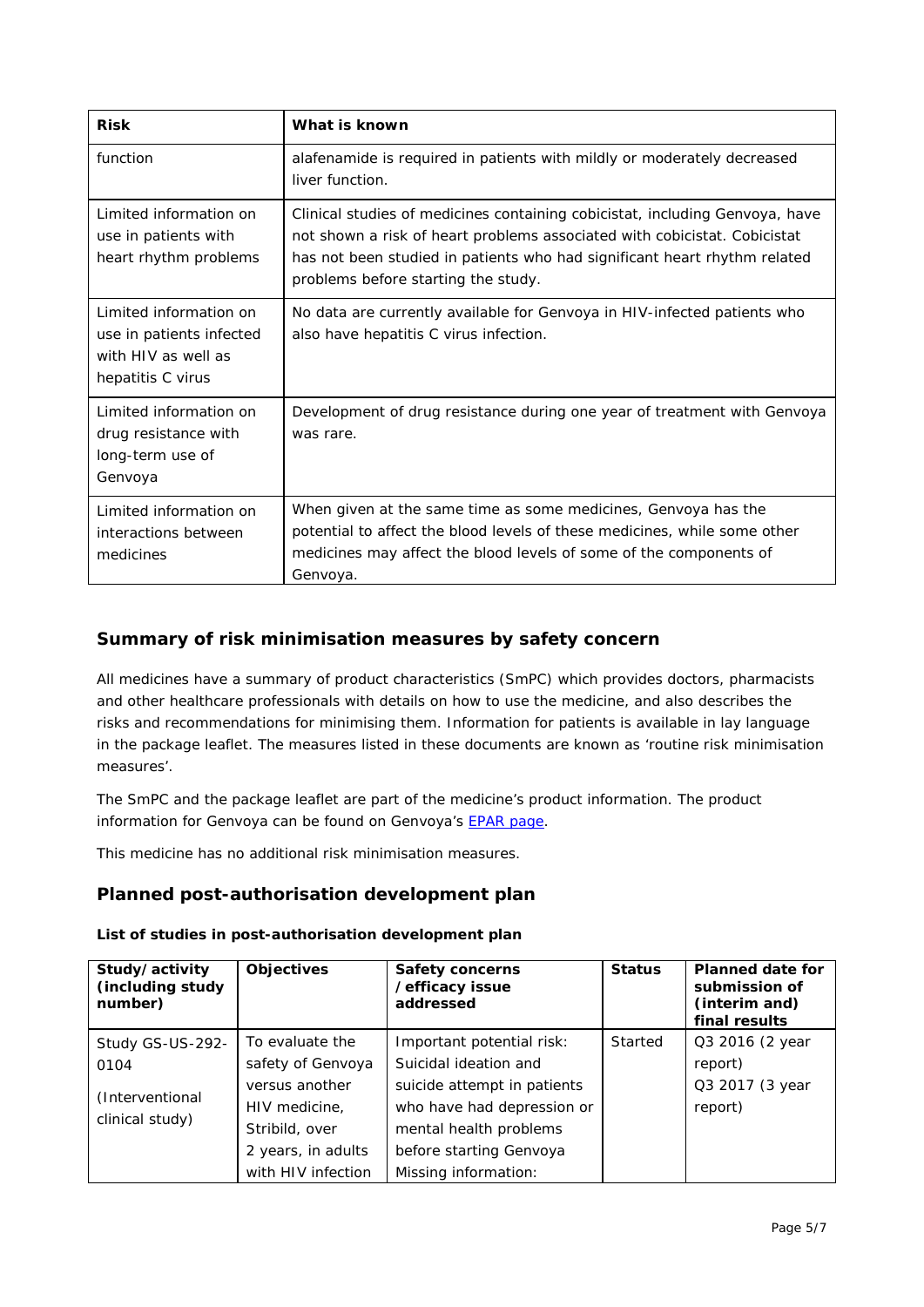| <b>Risk</b>                                                                                    | What is known                                                                                                                                                                                                                                                                 |
|------------------------------------------------------------------------------------------------|-------------------------------------------------------------------------------------------------------------------------------------------------------------------------------------------------------------------------------------------------------------------------------|
| function                                                                                       | alafenamide is required in patients with mildly or moderately decreased<br>liver function.                                                                                                                                                                                    |
| Limited information on<br>use in patients with<br>heart rhythm problems                        | Clinical studies of medicines containing cobicistat, including Genvoya, have<br>not shown a risk of heart problems associated with cobicistat. Cobicistat<br>has not been studied in patients who had significant heart rhythm related<br>problems before starting the study. |
| Limited information on<br>use in patients infected<br>with HIV as well as<br>hepatitis C virus | No data are currently available for Genvoya in HIV-infected patients who<br>also have hepatitis C virus infection.                                                                                                                                                            |
| Limited information on<br>drug resistance with<br>long-term use of<br>Genvoya                  | Development of drug resistance during one year of treatment with Genvoya<br>was rare.                                                                                                                                                                                         |
| Limited information on<br>interactions between<br>medicines                                    | When given at the same time as some medicines, Genvoya has the<br>potential to affect the blood levels of these medicines, while some other<br>medicines may affect the blood levels of some of the components of<br>Genvoya.                                                 |

# **Summary of risk minimisation measures by safety concern**

All medicines have a summary of product characteristics (SmPC) which provides doctors, pharmacists and other healthcare professionals with details on how to use the medicine, and also describes the risks and recommendations for minimising them. Information for patients is available in lay language in the package leaflet. The measures listed in these documents are known as 'routine risk minimisation measures'.

The SmPC and the package leaflet are part of the medicine's product information. The product information for Genvoya can be found on Genvoya's [EPAR page.](http://www.ema.europa.eu/ema/index.jsp?curl=/pages/medicines/human/medicines/004042/human_med_001940.jsp)

This medicine has no additional risk minimisation measures.

## **Planned post-authorisation development plan**

#### *List of studies in post-authorisation development plan*

| Study/activity<br>(including study<br>number) | <b>Objectives</b>  | <b>Safety concerns</b><br>/efficacy issue<br>addressed | <b>Status</b> | <b>Planned date for</b><br>submission of<br>(interim and)<br>final results |
|-----------------------------------------------|--------------------|--------------------------------------------------------|---------------|----------------------------------------------------------------------------|
| Study GS-US-292-                              | To evaluate the    | Important potential risk:                              | Started       | Q3 2016 (2 year                                                            |
| 0104                                          | safety of Genvoya  | Suicidal ideation and                                  |               | report)                                                                    |
| (Interventional<br>clinical study)            | versus another     | suicide attempt in patients                            |               | Q3 2017 (3 year                                                            |
|                                               | HIV medicine,      | who have had depression or                             |               | report)                                                                    |
|                                               | Stribild, over     | mental health problems                                 |               |                                                                            |
|                                               | 2 years, in adults | before starting Genvoya                                |               |                                                                            |
|                                               | with HIV infection | Missing information:                                   |               |                                                                            |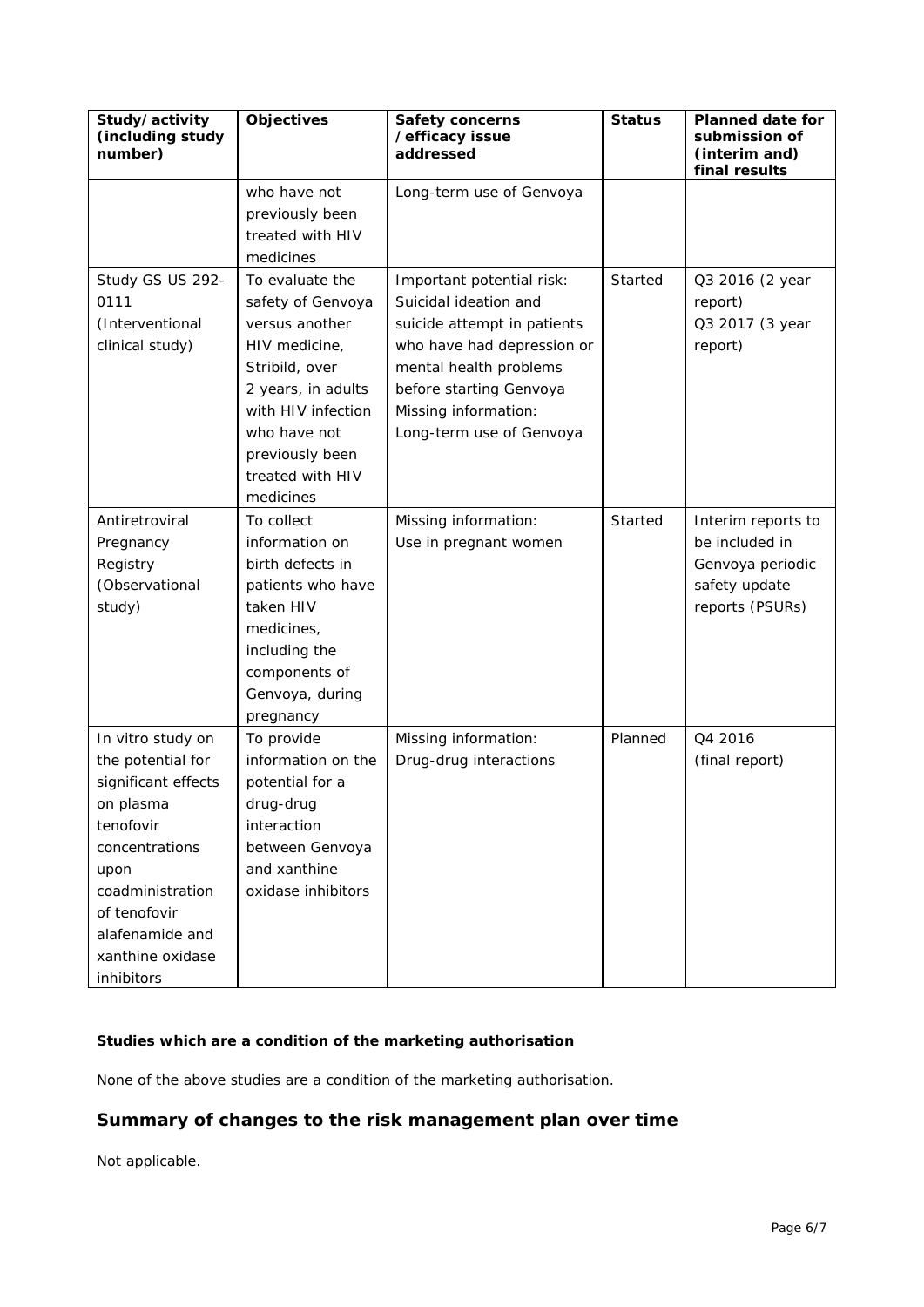| Study/activity<br>(including study<br>number) | <b>Objectives</b>  | <b>Safety concerns</b><br>/efficacy issue<br>addressed | <b>Status</b> | <b>Planned date for</b><br>submission of<br>(interim and)<br>final results |
|-----------------------------------------------|--------------------|--------------------------------------------------------|---------------|----------------------------------------------------------------------------|
|                                               | who have not       | Long-term use of Genvoya                               |               |                                                                            |
|                                               | previously been    |                                                        |               |                                                                            |
|                                               | treated with HIV   |                                                        |               |                                                                            |
|                                               | medicines          |                                                        |               |                                                                            |
| Study GS US 292-                              | To evaluate the    | Important potential risk:                              | Started       | Q3 2016 (2 year                                                            |
| 0111                                          | safety of Genvoya  | Suicidal ideation and                                  |               | report)                                                                    |
| (Interventional                               | versus another     | suicide attempt in patients                            |               | Q3 2017 (3 year                                                            |
| clinical study)                               | HIV medicine,      | who have had depression or                             |               | report)                                                                    |
|                                               | Stribild, over     | mental health problems                                 |               |                                                                            |
|                                               | 2 years, in adults | before starting Genvoya                                |               |                                                                            |
|                                               | with HIV infection | Missing information:                                   |               |                                                                            |
|                                               | who have not       | Long-term use of Genvoya                               |               |                                                                            |
|                                               | previously been    |                                                        |               |                                                                            |
|                                               | treated with HIV   |                                                        |               |                                                                            |
|                                               | medicines          |                                                        |               |                                                                            |
| Antiretroviral                                | To collect         | Missing information:                                   | Started       | Interim reports to                                                         |
| Pregnancy                                     | information on     | Use in pregnant women                                  |               | be included in                                                             |
| Registry                                      | birth defects in   |                                                        |               | Genvoya periodic                                                           |
| (Observational                                | patients who have  |                                                        |               | safety update                                                              |
| study)                                        | taken HIV          |                                                        |               | reports (PSURs)                                                            |
|                                               | medicines,         |                                                        |               |                                                                            |
|                                               | including the      |                                                        |               |                                                                            |
|                                               | components of      |                                                        |               |                                                                            |
|                                               | Genvoya, during    |                                                        |               |                                                                            |
|                                               | pregnancy          |                                                        |               |                                                                            |
| In vitro study on                             | To provide         | Missing information:                                   | Planned       | Q4 2016                                                                    |
| the potential for                             | information on the | Drug-drug interactions                                 |               | (final report)                                                             |
| significant effects                           | potential for a    |                                                        |               |                                                                            |
| on plasma                                     | drug-drug          |                                                        |               |                                                                            |
| tenofovir                                     | interaction        |                                                        |               |                                                                            |
| concentrations                                | between Genvoya    |                                                        |               |                                                                            |
| upon                                          | and xanthine       |                                                        |               |                                                                            |
| coadministration                              | oxidase inhibitors |                                                        |               |                                                                            |
| of tenofovir                                  |                    |                                                        |               |                                                                            |
| alafenamide and                               |                    |                                                        |               |                                                                            |
| xanthine oxidase                              |                    |                                                        |               |                                                                            |
| inhibitors                                    |                    |                                                        |               |                                                                            |

## *Studies which are a condition of the marketing authorisation*

None of the above studies are a condition of the marketing authorisation.

# **Summary of changes to the risk management plan over time**

Not applicable.